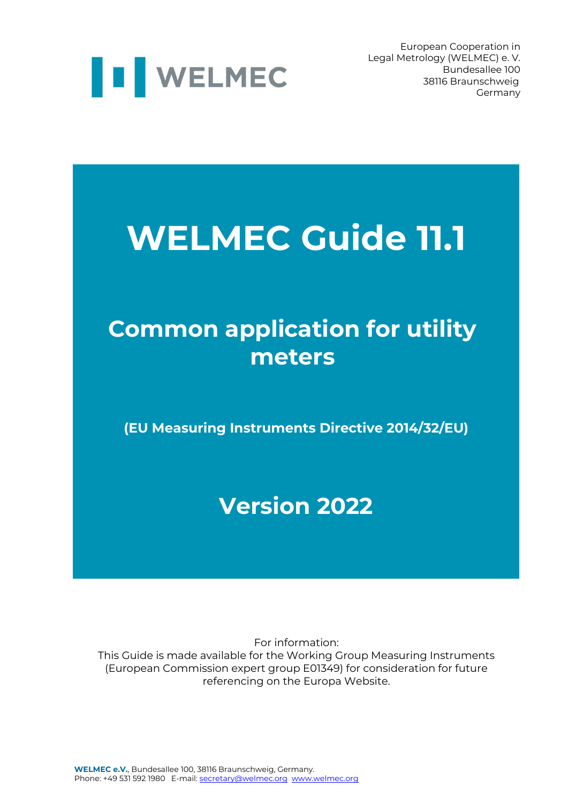

European Cooperation in Legal Metrology (WELMEC) e. V. 38116 Braunschweig Germany

## **WELMEC Guide 11.1**

## **Common application for utility meters**

**(EU Measuring Instruments Directive 2014/32/EU)**

### **Version 2022**

For information: This Guide is made available for the Working Group Measuring Instruments (European Commission expert group E01349) for consideration for future referencing on the Europa Website.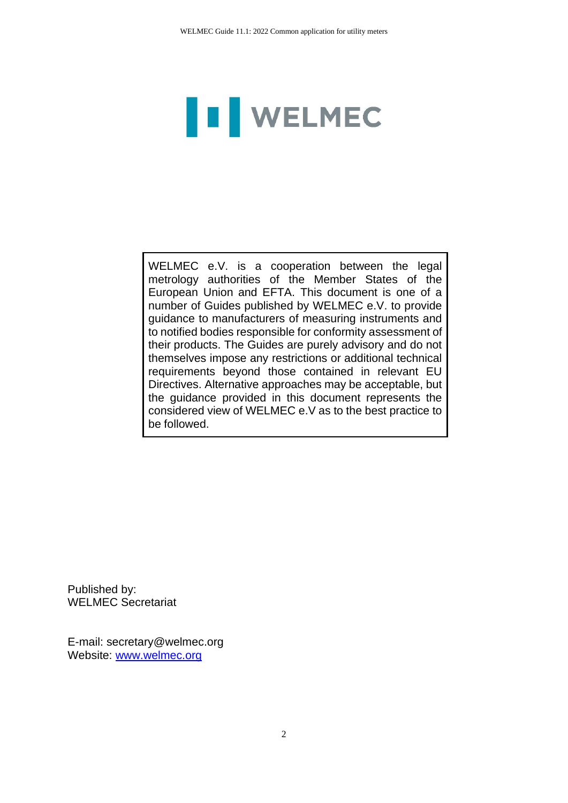# **I** WELMEC

WELMEC e.V. is a cooperation between the legal metrology authorities of the Member States of the European Union and EFTA. This document is one of a number of Guides published by WELMEC e.V. to provide guidance to manufacturers of measuring instruments and to notified bodies responsible for conformity assessment of their products. The Guides are purely advisory and do not themselves impose any restrictions or additional technical requirements beyond those contained in relevant EU Directives. Alternative approaches may be acceptable, but the guidance provided in this document represents the considered view of WELMEC e.V as to the best practice to be followed.

Published by: WELMEC Secretariat

E-mail: secretary@welmec.org Website: www.welmec.org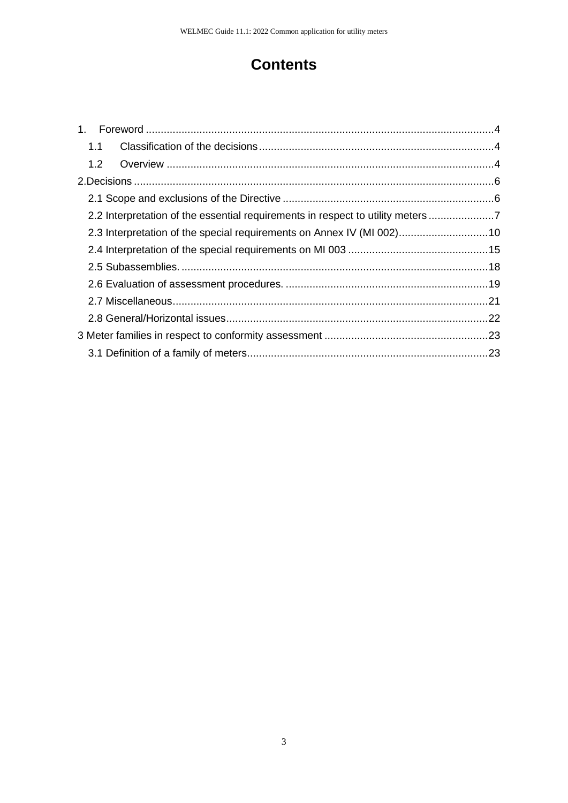#### **Contents**

| 1.1 |                                                                               |  |
|-----|-------------------------------------------------------------------------------|--|
| 1.2 |                                                                               |  |
|     |                                                                               |  |
|     |                                                                               |  |
|     | 2.2 Interpretation of the essential requirements in respect to utility meters |  |
|     | 2.3 Interpretation of the special requirements on Annex IV (MI 002)10         |  |
|     |                                                                               |  |
|     |                                                                               |  |
|     |                                                                               |  |
|     |                                                                               |  |
|     |                                                                               |  |
|     |                                                                               |  |
|     |                                                                               |  |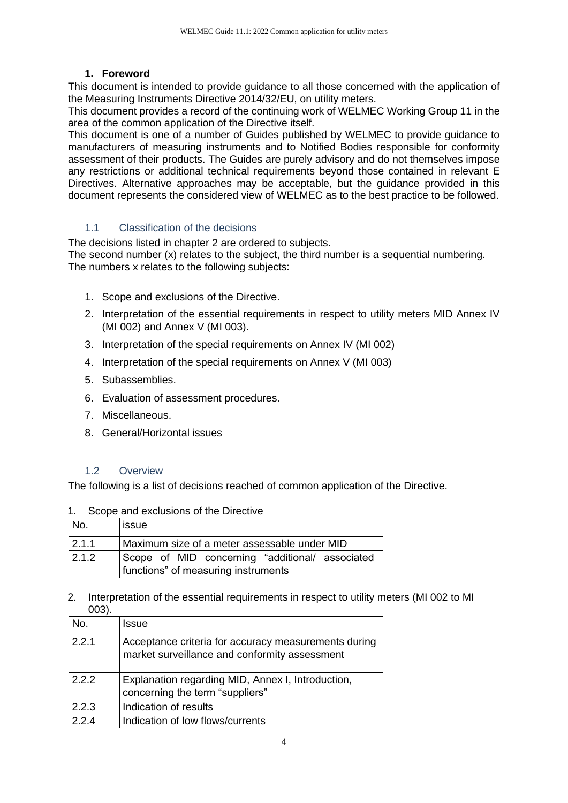#### **1. Foreword**

<span id="page-3-0"></span>This document is intended to provide guidance to all those concerned with the application of the Measuring Instruments Directive 2014/32/EU, on utility meters.

This document provides a record of the continuing work of WELMEC Working Group 11 in the area of the common application of the Directive itself.

This document is one of a number of Guides published by WELMEC to provide guidance to manufacturers of measuring instruments and to Notified Bodies responsible for conformity assessment of their products. The Guides are purely advisory and do not themselves impose any restrictions or additional technical requirements beyond those contained in relevant E Directives. Alternative approaches may be acceptable, but the guidance provided in this document represents the considered view of WELMEC as to the best practice to be followed.

#### 1.1 Classification of the decisions

<span id="page-3-1"></span>The decisions listed in chapter 2 are ordered to subjects.

The second number (x) relates to the subject, the third number is a sequential numbering. The numbers x relates to the following subjects:

- 1. Scope and exclusions of the Directive.
- 2. Interpretation of the essential requirements in respect to utility meters MID Annex IV (MI 002) and Annex V (MI 003).
- 3. Interpretation of the special requirements on Annex IV (MI 002)
- 4. Interpretation of the special requirements on Annex V (MI 003)
- 5. Subassemblies.
- 6. Evaluation of assessment procedures.
- 7. Miscellaneous.
- 8. General/Horizontal issues

#### 1.2 Overview

<span id="page-3-2"></span>The following is a list of decisions reached of common application of the Directive.

| Scope and exclusions of the Directive | 1. |  |  |  |  |
|---------------------------------------|----|--|--|--|--|
|---------------------------------------|----|--|--|--|--|

| No.   | lissue                                                                                 |
|-------|----------------------------------------------------------------------------------------|
| 2.1.1 | Maximum size of a meter assessable under MID                                           |
| 2.1.2 | Scope of MID concerning "additional/ associated<br>functions" of measuring instruments |

2. Interpretation of the essential requirements in respect to utility meters (MI 002 to MI 003).

| No.   | Issue                                                                                                 |
|-------|-------------------------------------------------------------------------------------------------------|
| 2.2.1 | Acceptance criteria for accuracy measurements during<br>market surveillance and conformity assessment |
| 222   | Explanation regarding MID, Annex I, Introduction,<br>concerning the term "suppliers"                  |
|       |                                                                                                       |
| 2.2.3 | Indication of results                                                                                 |
| 2.2.4 | Indication of low flows/currents                                                                      |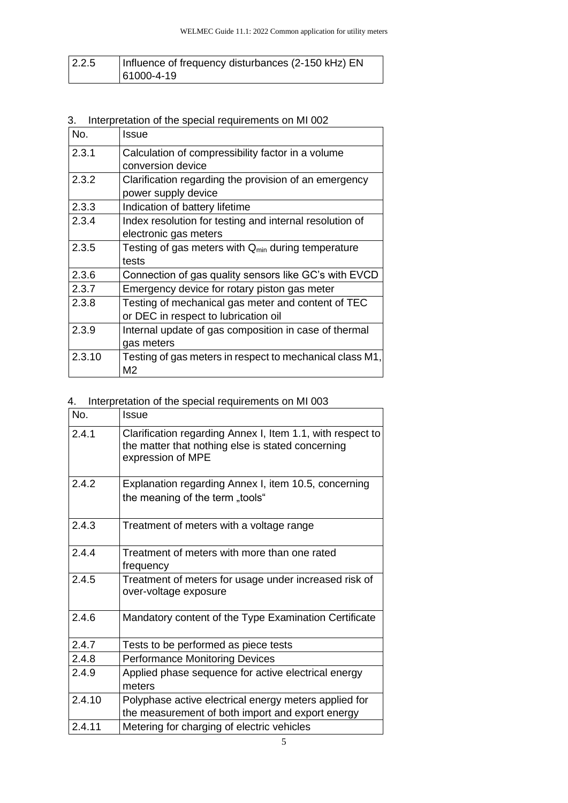| 2.2.5 | Influence of frequency disturbances (2-150 kHz) EN |
|-------|----------------------------------------------------|
|       | $ 61000 - 4 - 19 $                                 |

#### 3. Interpretation of the special requirements on MI 002

| No.    | Issue                                                    |
|--------|----------------------------------------------------------|
| 2.3.1  | Calculation of compressibility factor in a volume        |
|        | conversion device                                        |
| 2.3.2  | Clarification regarding the provision of an emergency    |
|        | power supply device                                      |
| 2.3.3  | Indication of battery lifetime                           |
| 2.3.4  | Index resolution for testing and internal resolution of  |
|        | electronic gas meters                                    |
| 2.3.5  | Testing of gas meters with $Q_{min}$ during temperature  |
|        | tests                                                    |
| 2.3.6  | Connection of gas quality sensors like GC's with EVCD    |
| 2.3.7  | Emergency device for rotary piston gas meter             |
| 2.3.8  | Testing of mechanical gas meter and content of TEC       |
|        | or DEC in respect to lubrication oil                     |
| 2.3.9  | Internal update of gas composition in case of thermal    |
|        | gas meters                                               |
| 2.3.10 | Testing of gas meters in respect to mechanical class M1, |
|        | M2                                                       |

#### 4. Interpretation of the special requirements on MI 003

| No.    | Issue                                                                                                                                |
|--------|--------------------------------------------------------------------------------------------------------------------------------------|
| 2.4.1  | Clarification regarding Annex I, Item 1.1, with respect to<br>the matter that nothing else is stated concerning<br>expression of MPE |
| 2.4.2  | Explanation regarding Annex I, item 10.5, concerning                                                                                 |
|        | the meaning of the term "tools"                                                                                                      |
| 2.4.3  | Treatment of meters with a voltage range                                                                                             |
| 2.4.4  | Treatment of meters with more than one rated                                                                                         |
|        | frequency                                                                                                                            |
| 2.4.5  | Treatment of meters for usage under increased risk of<br>over-voltage exposure                                                       |
| 2.4.6  | Mandatory content of the Type Examination Certificate                                                                                |
| 2.4.7  | Tests to be performed as piece tests                                                                                                 |
| 2.4.8  | <b>Performance Monitoring Devices</b>                                                                                                |
| 2.4.9  | Applied phase sequence for active electrical energy<br>meters                                                                        |
| 2.4.10 | Polyphase active electrical energy meters applied for                                                                                |
|        | the measurement of both import and export energy                                                                                     |
| 2.4.11 | Metering for charging of electric vehicles                                                                                           |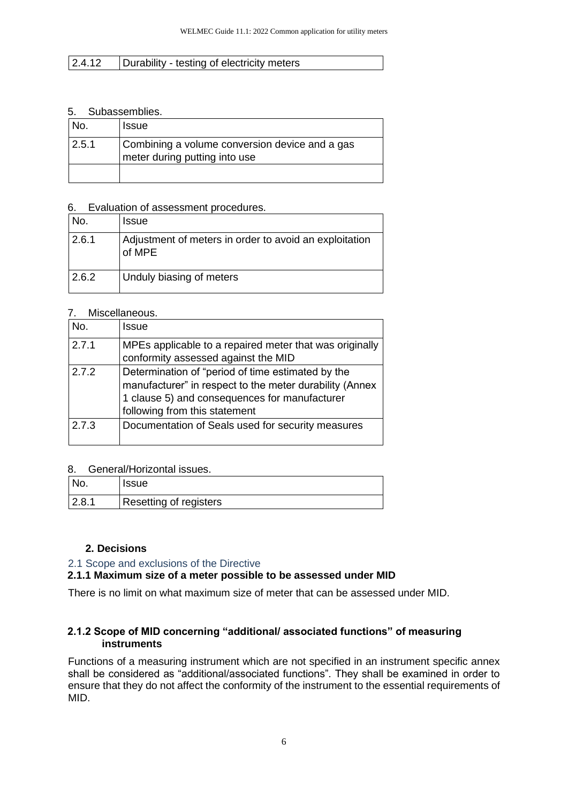#### 2.4.12 **Durability - testing of electricity meters**

#### 5. Subassemblies.

| INo.  | <sub>i</sub> Issue                                                              |
|-------|---------------------------------------------------------------------------------|
| 2.5.1 | Combining a volume conversion device and a gas<br>meter during putting into use |
|       |                                                                                 |

#### 6. Evaluation of assessment procedures.

| No.   | <b>Issue</b>                                                     |
|-------|------------------------------------------------------------------|
| 2.6.1 | Adjustment of meters in order to avoid an exploitation<br>of MPE |
| 2.6.2 | Unduly biasing of meters                                         |

#### 7. Miscellaneous.

| No.   | Issue                                                                                                                                                                                          |
|-------|------------------------------------------------------------------------------------------------------------------------------------------------------------------------------------------------|
| 2.7.1 | MPEs applicable to a repaired meter that was originally<br>conformity assessed against the MID                                                                                                 |
| 2.7.2 | Determination of "period of time estimated by the<br>manufacturer" in respect to the meter durability (Annex<br>1 clause 5) and consequences for manufacturer<br>following from this statement |
| 2.7.3 | Documentation of Seals used for security measures                                                                                                                                              |

#### 8. General/Horizontal issues.

| No.   | <b>Issue</b>           |
|-------|------------------------|
| 2.8.1 | Resetting of registers |

#### **2. Decisions**

#### <span id="page-5-1"></span><span id="page-5-0"></span>2.1 Scope and exclusions of the Directive

#### **2.1.1 Maximum size of a meter possible to be assessed under MID**

There is no limit on what maximum size of meter that can be assessed under MID.

#### **2.1.2 Scope of MID concerning "additional/ associated functions" of measuring instruments**

Functions of a measuring instrument which are not specified in an instrument specific annex shall be considered as "additional/associated functions". They shall be examined in order to ensure that they do not affect the conformity of the instrument to the essential requirements of MID.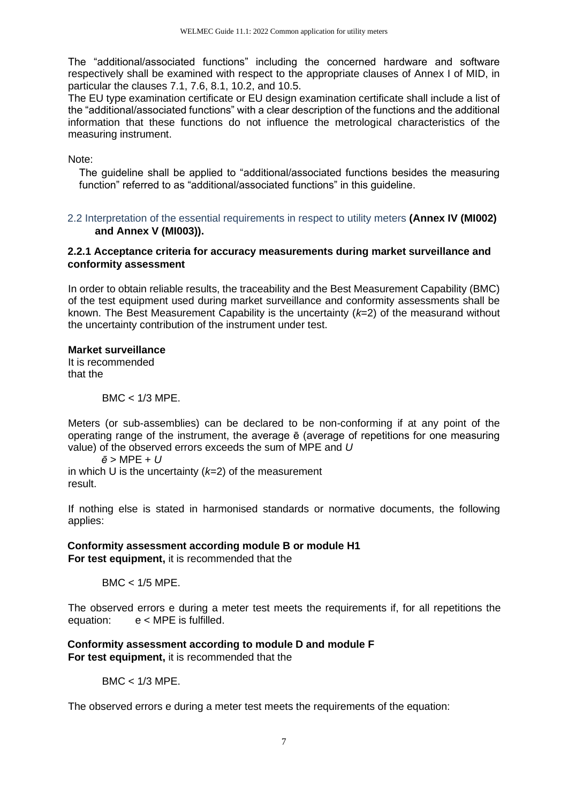The "additional/associated functions" including the concerned hardware and software respectively shall be examined with respect to the appropriate clauses of Annex I of MID, in particular the clauses 7.1, 7.6, 8.1, 10.2, and 10.5.

The EU type examination certificate or EU design examination certificate shall include a list of the "additional/associated functions" with a clear description of the functions and the additional information that these functions do not influence the metrological characteristics of the measuring instrument.

Note:

The guideline shall be applied to "additional/associated functions besides the measuring function" referred to as "additional/associated functions" in this guideline.

<span id="page-6-0"></span>2.2 Interpretation of the essential requirements in respect to utility meters **(Annex IV (MI002) and Annex V (MI003)).** 

#### **2.2.1 Acceptance criteria for accuracy measurements during market surveillance and conformity assessment**

In order to obtain reliable results, the traceability and the Best Measurement Capability (BMC) of the test equipment used during market surveillance and conformity assessments shall be known. The Best Measurement Capability is the uncertainty (*k*=2) of the measurand without the uncertainty contribution of the instrument under test.

#### **Market surveillance**

It is recommended that the

 $BMC < 1/3$  MPE.

Meters (or sub-assemblies) can be declared to be non-conforming if at any point of the operating range of the instrument, the average ē (average of repetitions for one measuring value) of the observed errors exceeds the sum of MPE and *U*

*ē* > MPE + *U* in which U is the uncertainty (*k*=2) of the measurement result.

If nothing else is stated in harmonised standards or normative documents, the following applies:

#### **Conformity assessment according module B or module H1**

**For test equipment,** it is recommended that the

 $BMC < 1/5$  MPE.

The observed errors e during a meter test meets the requirements if, for all repetitions the equation: e < MPE is fulfilled.

#### **Conformity assessment according to module D and module F For test equipment,** it is recommended that the

BMC < 1/3 MPE.

The observed errors e during a meter test meets the requirements of the equation: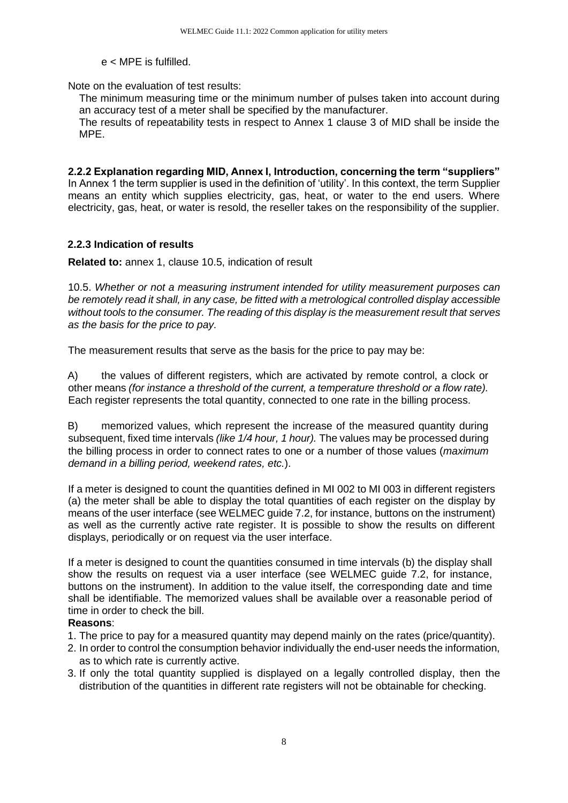#### e < MPE is fulfilled.

Note on the evaluation of test results:

The minimum measuring time or the minimum number of pulses taken into account during an accuracy test of a meter shall be specified by the manufacturer.

The results of repeatability tests in respect to Annex 1 clause 3 of MID shall be inside the MPE.

**2.2.2 Explanation regarding MID, Annex I, Introduction, concerning the term "suppliers"** In Annex 1 the term supplier is used in the definition of 'utility'. In this context, the term Supplier means an entity which supplies electricity, gas, heat, or water to the end users. Where electricity, gas, heat, or water is resold, the reseller takes on the responsibility of the supplier.

#### **2.2.3 Indication of results**

**Related to:** annex 1, clause 10.5, indication of result

10.5. *Whether or not a measuring instrument intended for utility measurement purposes can be remotely read it shall, in any case, be fitted with a metrological controlled display accessible*  without tools to the consumer. The reading of this display is the measurement result that serves *as the basis for the price to pay.* 

The measurement results that serve as the basis for the price to pay may be:

A) the values of different registers, which are activated by remote control, a clock or other means *(for instance a threshold of the current, a temperature threshold or a flow rate).* Each register represents the total quantity, connected to one rate in the billing process.

B) memorized values, which represent the increase of the measured quantity during subsequent, fixed time intervals *(like 1/4 hour, 1 hour).* The values may be processed during the billing process in order to connect rates to one or a number of those values (*maximum demand in a billing period, weekend rates, etc.*).

If a meter is designed to count the quantities defined in MI 002 to MI 003 in different registers (a) the meter shall be able to display the total quantities of each register on the display by means of the user interface (see WELMEC guide 7.2, for instance, buttons on the instrument) as well as the currently active rate register. It is possible to show the results on different displays, periodically or on request via the user interface.

If a meter is designed to count the quantities consumed in time intervals (b) the display shall show the results on request via a user interface (see WELMEC guide 7.2, for instance, buttons on the instrument). In addition to the value itself, the corresponding date and time shall be identifiable. The memorized values shall be available over a reasonable period of time in order to check the bill.

#### **Reasons**:

- 1. The price to pay for a measured quantity may depend mainly on the rates (price/quantity).
- 2. In order to control the consumption behavior individually the end-user needs the information, as to which rate is currently active.
- 3. If only the total quantity supplied is displayed on a legally controlled display, then the distribution of the quantities in different rate registers will not be obtainable for checking.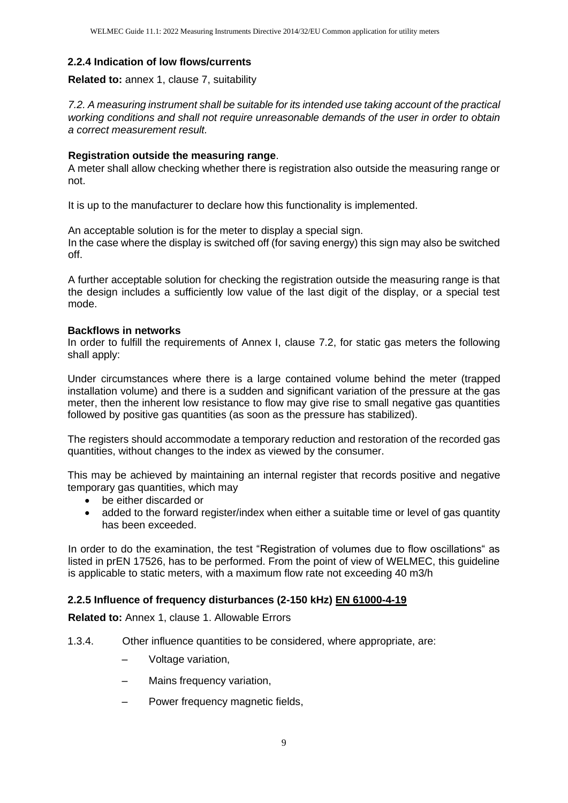#### **2.2.4 Indication of low flows/currents**

#### **Related to:** annex 1, clause 7, suitability

*7.2. A measuring instrument shall be suitable for its intended use taking account of the practical working conditions and shall not require unreasonable demands of the user in order to obtain a correct measurement result.* 

#### **Registration outside the measuring range**.

A meter shall allow checking whether there is registration also outside the measuring range or not.

It is up to the manufacturer to declare how this functionality is implemented.

An acceptable solution is for the meter to display a special sign. In the case where the display is switched off (for saving energy) this sign may also be switched off.

A further acceptable solution for checking the registration outside the measuring range is that the design includes a sufficiently low value of the last digit of the display, or a special test mode.

#### **Backflows in networks**

In order to fulfill the requirements of Annex I, clause 7.2, for static gas meters the following shall apply:

Under circumstances where there is a large contained volume behind the meter (trapped installation volume) and there is a sudden and significant variation of the pressure at the gas meter, then the inherent low resistance to flow may give rise to small negative gas quantities followed by positive gas quantities (as soon as the pressure has stabilized).

The registers should accommodate a temporary reduction and restoration of the recorded gas quantities, without changes to the index as viewed by the consumer.

This may be achieved by maintaining an internal register that records positive and negative temporary gas quantities, which may

- be either discarded or
- added to the forward register/index when either a suitable time or level of gas quantity has been exceeded.

In order to do the examination, the test "Registration of volumes due to flow oscillations" as listed in prEN 17526, has to be performed. From the point of view of WELMEC, this guideline is applicable to static meters, with a maximum flow rate not exceeding 40 m3/h

#### **2.2.5 Influence of frequency disturbances (2-150 kHz) EN 61000-4-19**

**Related to:** Annex 1, clause 1. Allowable Errors

- 1.3.4. Other influence quantities to be considered, where appropriate, are:
	- Voltage variation,
	- Mains frequency variation,
	- Power frequency magnetic fields,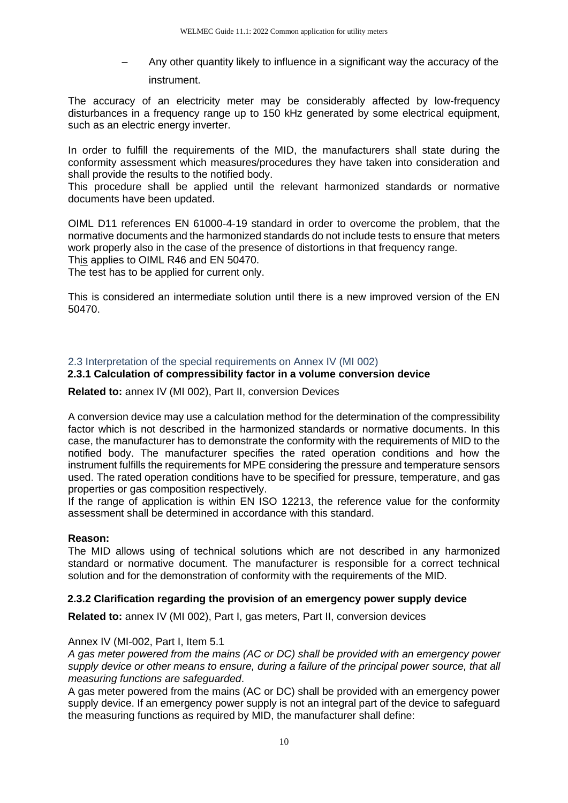– Any other quantity likely to influence in a significant way the accuracy of the instrument.

The accuracy of an electricity meter may be considerably affected by low-frequency disturbances in a frequency range up to 150 kHz generated by some electrical equipment, such as an electric energy inverter.

In order to fulfill the requirements of the MID, the manufacturers shall state during the conformity assessment which measures/procedures they have taken into consideration and shall provide the results to the notified body.

This procedure shall be applied until the relevant harmonized standards or normative documents have been updated.

OIML D11 references EN 61000-4-19 standard in order to overcome the problem, that the normative documents and the harmonized standards do not include tests to ensure that meters work properly also in the case of the presence of distortions in that frequency range. This applies to OIML R46 and EN 50470.

The test has to be applied for current only.

This is considered an intermediate solution until there is a new improved version of the EN 50470.

#### <span id="page-9-0"></span>2.3 Interpretation of the special requirements on Annex IV (MI 002)

#### **2.3.1 Calculation of compressibility factor in a volume conversion device**

**Related to:** annex IV (MI 002), Part II, conversion Devices

A conversion device may use a calculation method for the determination of the compressibility factor which is not described in the harmonized standards or normative documents. In this case, the manufacturer has to demonstrate the conformity with the requirements of MID to the notified body. The manufacturer specifies the rated operation conditions and how the instrument fulfills the requirements for MPE considering the pressure and temperature sensors used. The rated operation conditions have to be specified for pressure, temperature, and gas properties or gas composition respectively.

If the range of application is within EN ISO 12213, the reference value for the conformity assessment shall be determined in accordance with this standard.

#### **Reason:**

The MID allows using of technical solutions which are not described in any harmonized standard or normative document. The manufacturer is responsible for a correct technical solution and for the demonstration of conformity with the requirements of the MID.

#### **2.3.2 Clarification regarding the provision of an emergency power supply device**

**Related to:** annex IV (MI 002), Part I, gas meters, Part II, conversion devices

#### Annex IV (MI-002, Part I, Item 5.1

*A gas meter powered from the mains (AC or DC) shall be provided with an emergency power supply device or other means to ensure, during a failure of the principal power source, that all measuring functions are safeguarded*.

A gas meter powered from the mains (AC or DC) shall be provided with an emergency power supply device. If an emergency power supply is not an integral part of the device to safeguard the measuring functions as required by MID, the manufacturer shall define: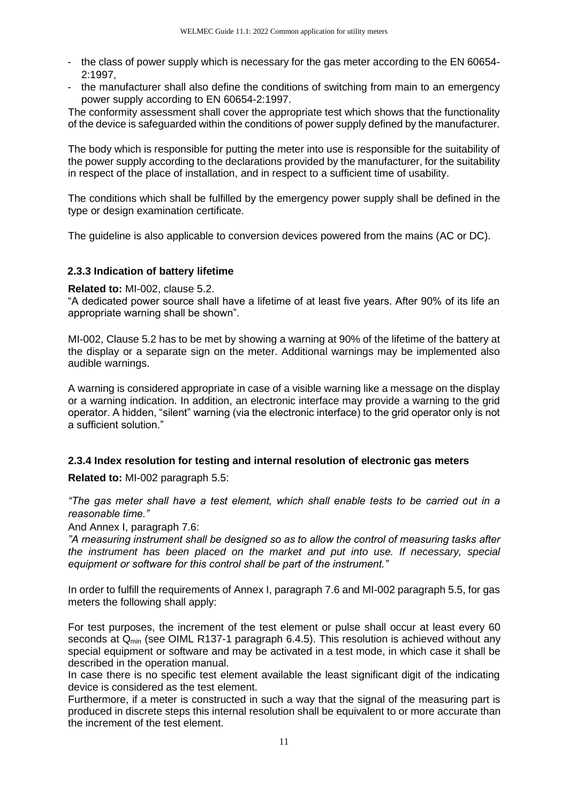- the class of power supply which is necessary for the gas meter according to the EN 60654- 2:1997,
- the manufacturer shall also define the conditions of switching from main to an emergency power supply according to EN 60654-2:1997.

The conformity assessment shall cover the appropriate test which shows that the functionality of the device is safeguarded within the conditions of power supply defined by the manufacturer.

The body which is responsible for putting the meter into use is responsible for the suitability of the power supply according to the declarations provided by the manufacturer, for the suitability in respect of the place of installation, and in respect to a sufficient time of usability.

The conditions which shall be fulfilled by the emergency power supply shall be defined in the type or design examination certificate.

The guideline is also applicable to conversion devices powered from the mains (AC or DC).

#### **2.3.3 Indication of battery lifetime**

#### **Related to:** MI-002, clause 5.2.

"A dedicated power source shall have a lifetime of at least five years. After 90% of its life an appropriate warning shall be shown".

MI-002, Clause 5.2 has to be met by showing a warning at 90% of the lifetime of the battery at the display or a separate sign on the meter. Additional warnings may be implemented also audible warnings.

A warning is considered appropriate in case of a visible warning like a message on the display or a warning indication. In addition, an electronic interface may provide a warning to the grid operator. A hidden, "silent" warning (via the electronic interface) to the grid operator only is not a sufficient solution."

#### **2.3.4 Index resolution for testing and internal resolution of electronic gas meters**

**Related to:** MI-002 paragraph 5.5:

*"The gas meter shall have a test element, which shall enable tests to be carried out in a reasonable time."*

And Annex I, paragraph 7.6:

*"A measuring instrument shall be designed so as to allow the control of measuring tasks after the instrument has been placed on the market and put into use. If necessary, special equipment or software for this control shall be part of the instrument."*

In order to fulfill the requirements of Annex I, paragraph 7.6 and MI-002 paragraph 5.5, for gas meters the following shall apply:

For test purposes, the increment of the test element or pulse shall occur at least every 60 seconds at  $Q_{min}$  (see OIML R137-1 paragraph 6.4.5). This resolution is achieved without any special equipment or software and may be activated in a test mode, in which case it shall be described in the operation manual.

In case there is no specific test element available the least significant digit of the indicating device is considered as the test element.

Furthermore, if a meter is constructed in such a way that the signal of the measuring part is produced in discrete steps this internal resolution shall be equivalent to or more accurate than the increment of the test element.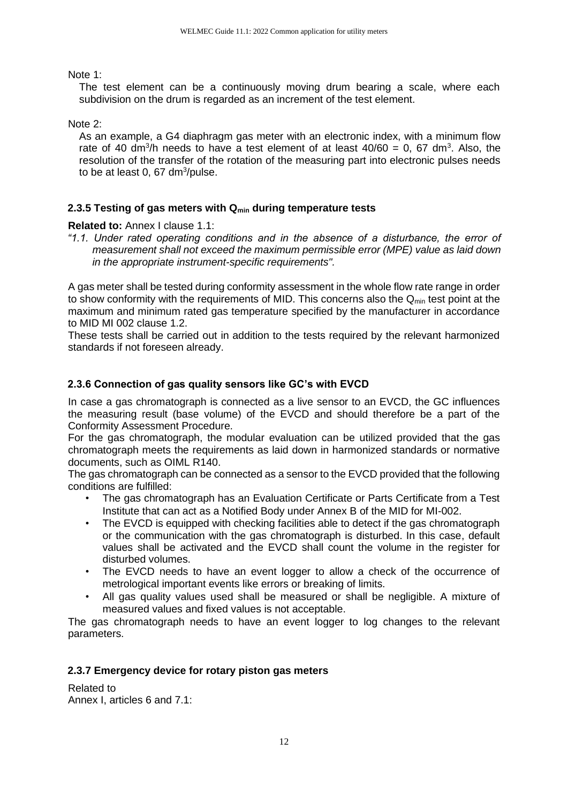Note 1:

The test element can be a continuously moving drum bearing a scale, where each subdivision on the drum is regarded as an increment of the test element.

Note 2:

As an example, a G4 diaphragm gas meter with an electronic index, with a minimum flow rate of 40 dm<sup>3</sup>/h needs to have a test element of at least  $40/60 = 0$ , 67 dm<sup>3</sup>. Also, the resolution of the transfer of the rotation of the measuring part into electronic pulses needs to be at least  $0,67$  dm $3$ /pulse.

#### **2.3.5 Testing of gas meters with Qmin during temperature tests**

**Related to:** Annex I clause 1.1:

*"1.1. Under rated operating conditions and in the absence of a disturbance, the error of measurement shall not exceed the maximum permissible error (MPE) value as laid down in the appropriate instrument-specific requirements".* 

A gas meter shall be tested during conformity assessment in the whole flow rate range in order to show conformity with the requirements of MID. This concerns also the  $Q_{min}$  test point at the maximum and minimum rated gas temperature specified by the manufacturer in accordance to MID MI 002 clause 1.2.

These tests shall be carried out in addition to the tests required by the relevant harmonized standards if not foreseen already.

#### **2.3.6 Connection of gas quality sensors like GC's with EVCD**

In case a gas chromatograph is connected as a live sensor to an EVCD, the GC influences the measuring result (base volume) of the EVCD and should therefore be a part of the Conformity Assessment Procedure.

For the gas chromatograph, the modular evaluation can be utilized provided that the gas chromatograph meets the requirements as laid down in harmonized standards or normative documents, such as OIML R140.

The gas chromatograph can be connected as a sensor to the EVCD provided that the following conditions are fulfilled:

- The gas chromatograph has an Evaluation Certificate or Parts Certificate from a Test Institute that can act as a Notified Body under Annex B of the MID for MI-002.
- The EVCD is equipped with checking facilities able to detect if the gas chromatograph or the communication with the gas chromatograph is disturbed. In this case, default values shall be activated and the EVCD shall count the volume in the register for disturbed volumes.
- The EVCD needs to have an event logger to allow a check of the occurrence of metrological important events like errors or breaking of limits.
- All gas quality values used shall be measured or shall be negligible. A mixture of measured values and fixed values is not acceptable.

The gas chromatograph needs to have an event logger to log changes to the relevant parameters.

#### **2.3.7 Emergency device for rotary piston gas meters**

Related to Annex I, articles 6 and 7.1: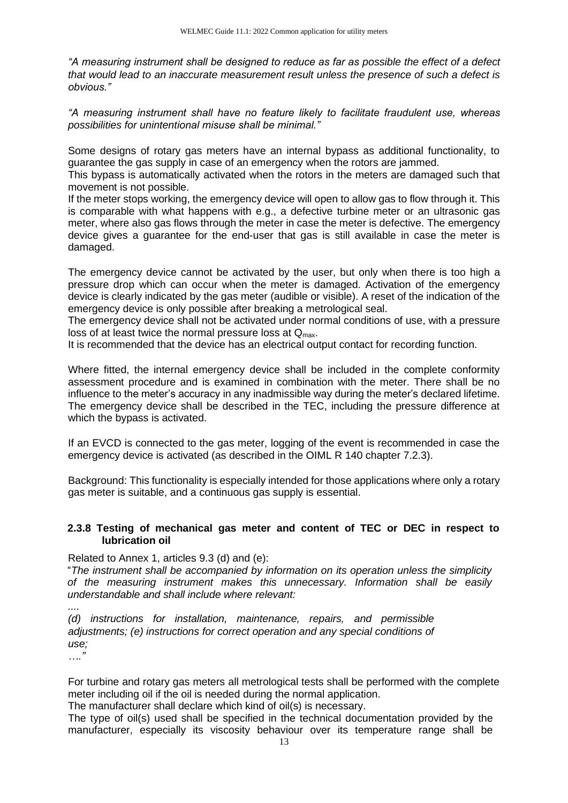*"A measuring instrument shall be designed to reduce as far as possible the effect of a defect that would lead to an inaccurate measurement result unless the presence of such a defect is obvious."* 

*"A measuring instrument shall have no feature likely to facilitate fraudulent use, whereas possibilities for unintentional misuse shall be minimal."* 

Some designs of rotary gas meters have an internal bypass as additional functionality, to guarantee the gas supply in case of an emergency when the rotors are jammed.

This bypass is automatically activated when the rotors in the meters are damaged such that movement is not possible.

If the meter stops working, the emergency device will open to allow gas to flow through it. This is comparable with what happens with e.g., a defective turbine meter or an ultrasonic gas meter, where also gas flows through the meter in case the meter is defective. The emergency device gives a guarantee for the end-user that gas is still available in case the meter is damaged.

The emergency device cannot be activated by the user, but only when there is too high a pressure drop which can occur when the meter is damaged. Activation of the emergency device is clearly indicated by the gas meter (audible or visible). A reset of the indication of the emergency device is only possible after breaking a metrological seal.

The emergency device shall not be activated under normal conditions of use, with a pressure loss of at least twice the normal pressure loss at  $Q_{\text{max}}$ .

It is recommended that the device has an electrical output contact for recording function.

Where fitted, the internal emergency device shall be included in the complete conformity assessment procedure and is examined in combination with the meter. There shall be no influence to the meter's accuracy in any inadmissible way during the meter's declared lifetime. The emergency device shall be described in the TEC, including the pressure difference at which the bypass is activated.

If an EVCD is connected to the gas meter, logging of the event is recommended in case the emergency device is activated (as described in the OIML R 140 chapter 7.2.3).

Background: This functionality is especially intended for those applications where only a rotary gas meter is suitable, and a continuous gas supply is essential.

#### **2.3.8 Testing of mechanical gas meter and content of TEC or DEC in respect to lubrication oil**

Related to Annex 1, articles 9.3 (d) and (e):

"*The instrument shall be accompanied by information on its operation unless the simplicity of the measuring instrument makes this unnecessary. Information shall be easily understandable and shall include where relevant:* 

*....* 

*(d) instructions for installation, maintenance, repairs, and permissible adjustments; (e) instructions for correct operation and any special conditions of use;* 

*…."* 

For turbine and rotary gas meters all metrological tests shall be performed with the complete meter including oil if the oil is needed during the normal application.

The manufacturer shall declare which kind of oil(s) is necessary.

The type of oil(s) used shall be specified in the technical documentation provided by the manufacturer, especially its viscosity behaviour over its temperature range shall be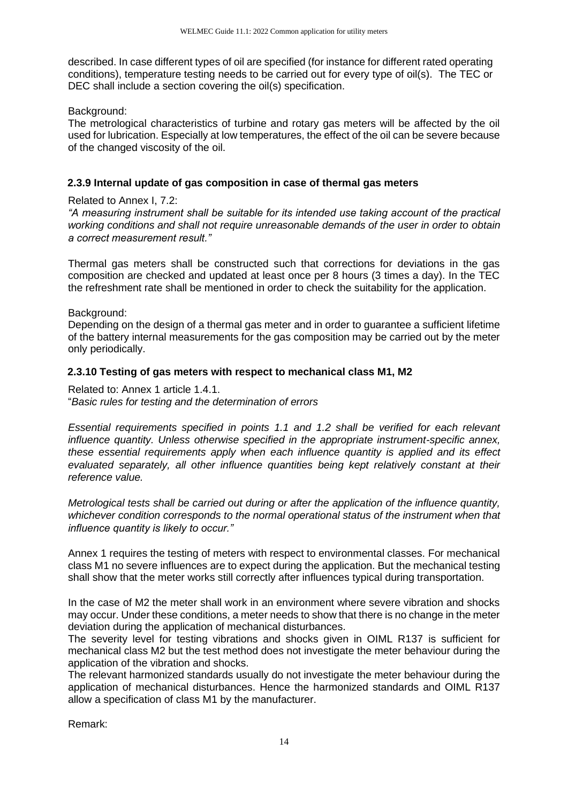described. In case different types of oil are specified (for instance for different rated operating conditions), temperature testing needs to be carried out for every type of oil(s). The TEC or DEC shall include a section covering the oil(s) specification.

Background:

The metrological characteristics of turbine and rotary gas meters will be affected by the oil used for lubrication. Especially at low temperatures, the effect of the oil can be severe because of the changed viscosity of the oil.

#### **2.3.9 Internal update of gas composition in case of thermal gas meters**

#### Related to Annex I, 7.2:

*"A measuring instrument shall be suitable for its intended use taking account of the practical working conditions and shall not require unreasonable demands of the user in order to obtain a correct measurement result."*

Thermal gas meters shall be constructed such that corrections for deviations in the gas composition are checked and updated at least once per 8 hours (3 times a day). In the TEC the refreshment rate shall be mentioned in order to check the suitability for the application.

Background:

Depending on the design of a thermal gas meter and in order to guarantee a sufficient lifetime of the battery internal measurements for the gas composition may be carried out by the meter only periodically.

#### **2.3.10 Testing of gas meters with respect to mechanical class M1, M2**

Related to: Annex 1 article 1.4.1.

"*Basic rules for testing and the determination of errors* 

*Essential requirements specified in points 1.1 and 1.2 shall be verified for each relevant influence quantity. Unless otherwise specified in the appropriate instrument-specific annex, these essential requirements apply when each influence quantity is applied and its effect evaluated separately, all other influence quantities being kept relatively constant at their reference value.* 

*Metrological tests shall be carried out during or after the application of the influence quantity, whichever condition corresponds to the normal operational status of the instrument when that influence quantity is likely to occur."* 

Annex 1 requires the testing of meters with respect to environmental classes. For mechanical class M1 no severe influences are to expect during the application. But the mechanical testing shall show that the meter works still correctly after influences typical during transportation.

In the case of M2 the meter shall work in an environment where severe vibration and shocks may occur. Under these conditions, a meter needs to show that there is no change in the meter deviation during the application of mechanical disturbances.

The severity level for testing vibrations and shocks given in OIML R137 is sufficient for mechanical class M2 but the test method does not investigate the meter behaviour during the application of the vibration and shocks.

The relevant harmonized standards usually do not investigate the meter behaviour during the application of mechanical disturbances. Hence the harmonized standards and OIML R137 allow a specification of class M1 by the manufacturer.

Remark: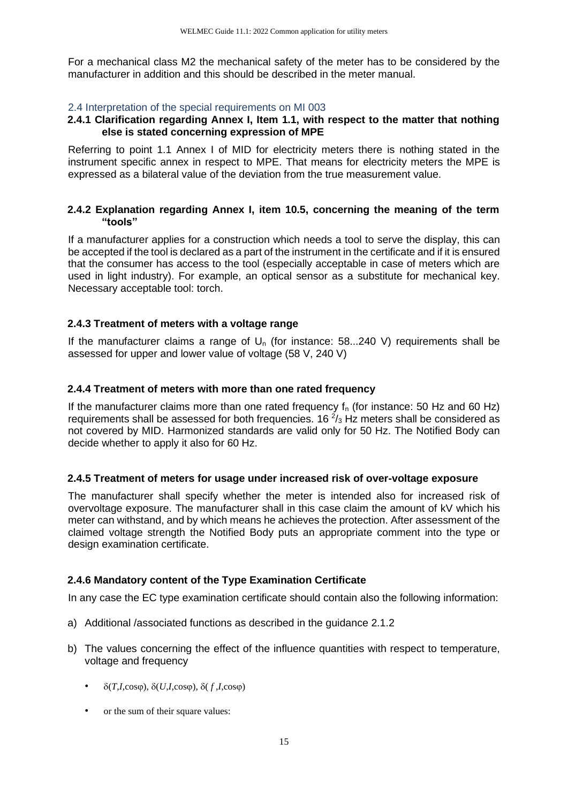For a mechanical class M2 the mechanical safety of the meter has to be considered by the manufacturer in addition and this should be described in the meter manual.

#### <span id="page-14-0"></span>2.4 Interpretation of the special requirements on MI 003

#### **2.4.1 Clarification regarding Annex I, Item 1.1, with respect to the matter that nothing else is stated concerning expression of MPE**

Referring to point 1.1 Annex I of MID for electricity meters there is nothing stated in the instrument specific annex in respect to MPE. That means for electricity meters the MPE is expressed as a bilateral value of the deviation from the true measurement value.

#### **2.4.2 Explanation regarding Annex I, item 10.5, concerning the meaning of the term "tools"**

If a manufacturer applies for a construction which needs a tool to serve the display, this can be accepted if the tool is declared as a part of the instrument in the certificate and if it is ensured that the consumer has access to the tool (especially acceptable in case of meters which are used in light industry). For example, an optical sensor as a substitute for mechanical key. Necessary acceptable tool: torch.

#### **2.4.3 Treatment of meters with a voltage range**

If the manufacturer claims a range of  $U<sub>n</sub>$  (for instance: 58...240 V) requirements shall be assessed for upper and lower value of voltage (58 V, 240 V)

#### **2.4.4 Treatment of meters with more than one rated frequency**

If the manufacturer claims more than one rated frequency  $f<sub>n</sub>$  (for instance: 50 Hz and 60 Hz) requirements shall be assessed for both frequencies. 16 $\frac{2}{3}$  Hz meters shall be considered as not covered by MID. Harmonized standards are valid only for 50 Hz. The Notified Body can decide whether to apply it also for 60 Hz.

#### **2.4.5 Treatment of meters for usage under increased risk of over-voltage exposure**

The manufacturer shall specify whether the meter is intended also for increased risk of overvoltage exposure. The manufacturer shall in this case claim the amount of kV which his meter can withstand, and by which means he achieves the protection. After assessment of the claimed voltage strength the Notified Body puts an appropriate comment into the type or design examination certificate.

#### **2.4.6 Mandatory content of the Type Examination Certificate**

In any case the EC type examination certificate should contain also the following information:

- a) Additional /associated functions as described in the guidance 2.1.2
- b) The values concerning the effect of the influence quantities with respect to temperature, voltage and frequency
	- $\delta(T, I, \cos\varphi), \delta(U, I, \cos\varphi), \delta(f, I, \cos\varphi)$
	- or the sum of their square values: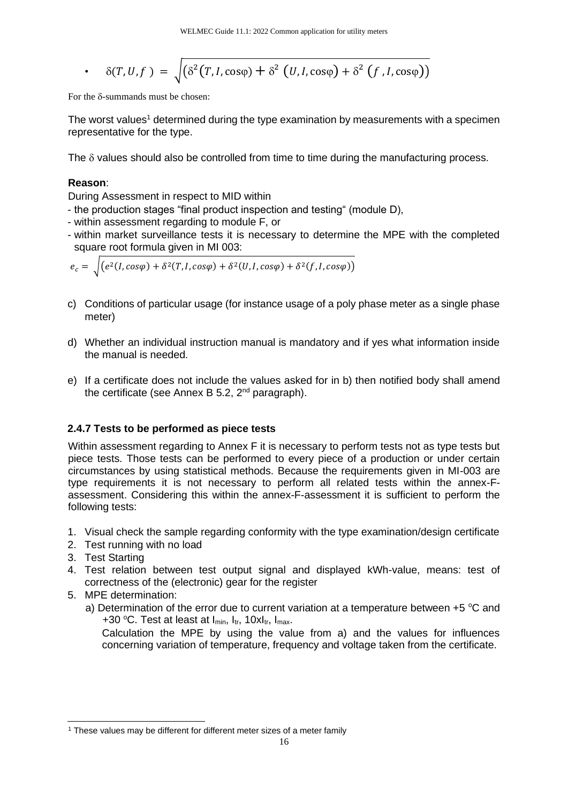• 
$$
\delta(T, U, f) = \sqrt{(\delta^2(T, I, \cos\varphi) + \delta^2 (U, I, \cos\varphi) + \delta^2 (f, I, \cos\varphi))}
$$

For the  $\delta$ -summands must be chosen:

The worst values<sup>1</sup> determined during the type examination by measurements with a specimen representative for the type.

The  $\delta$  values should also be controlled from time to time during the manufacturing process.

#### **Reason**:

During Assessment in respect to MID within

- the production stages "final product inspection and testing" (module D),
- within assessment regarding to module F, or
- within market surveillance tests it is necessary to determine the MPE with the completed square root formula given in MI 003:

$$
e_c = \sqrt{(e^2(I, cos\varphi) + \delta^2(T, I, cos\varphi) + \delta^2(U, I, cos\varphi) + \delta^2(f, I, cos\varphi))}
$$

- c) Conditions of particular usage (for instance usage of a poly phase meter as a single phase meter)
- d) Whether an individual instruction manual is mandatory and if yes what information inside the manual is needed.
- e) If a certificate does not include the values asked for in b) then notified body shall amend the certificate (see Annex B 5.2,  $2^{nd}$  paragraph).

#### **2.4.7 Tests to be performed as piece tests**

Within assessment regarding to Annex F it is necessary to perform tests not as type tests but piece tests. Those tests can be performed to every piece of a production or under certain circumstances by using statistical methods. Because the requirements given in MI-003 are type requirements it is not necessary to perform all related tests within the annex-Fassessment. Considering this within the annex-F-assessment it is sufficient to perform the following tests:

- 1. Visual check the sample regarding conformity with the type examination/design certificate
- 2. Test running with no load
- 3. Test Starting
- 4. Test relation between test output signal and displayed kWh-value, means: test of correctness of the (electronic) gear for the register
- 5. MPE determination:
	- a) Determination of the error due to current variation at a temperature between  $+5$  °C and +30 °C. Test at least at  $I_{min}$ ,  $I_{tr}$ , 10x $I_{tr}$ ,  $I_{max}$ .

Calculation the MPE by using the value from a) and the values for influences concerning variation of temperature, frequency and voltage taken from the certificate.

<sup>&</sup>lt;sup>1</sup> These values may be different for different meter sizes of a meter family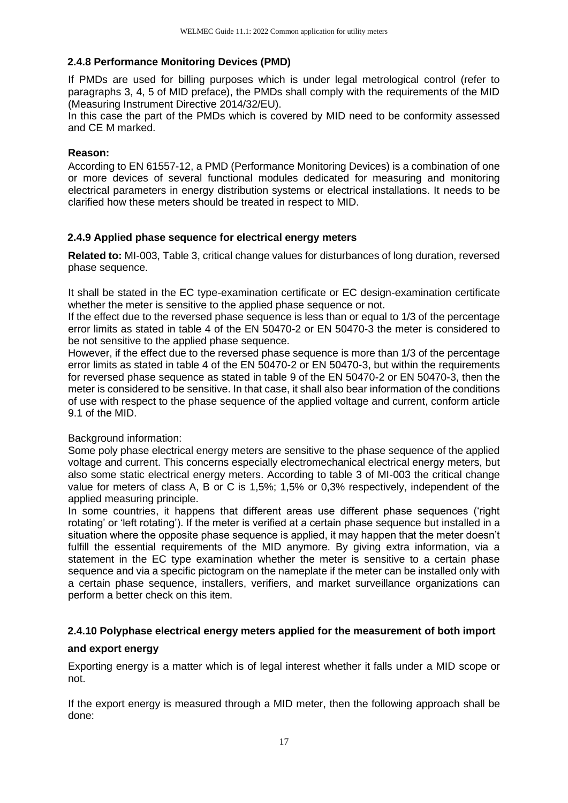#### **2.4.8 Performance Monitoring Devices (PMD)**

If PMDs are used for billing purposes which is under legal metrological control (refer to paragraphs 3, 4, 5 of MID preface), the PMDs shall comply with the requirements of the MID (Measuring Instrument Directive 2014/32/EU).

In this case the part of the PMDs which is covered by MID need to be conformity assessed and CE M marked.

#### **Reason:**

According to EN 61557-12, a PMD (Performance Monitoring Devices) is a combination of one or more devices of several functional modules dedicated for measuring and monitoring electrical parameters in energy distribution systems or electrical installations. It needs to be clarified how these meters should be treated in respect to MID.

#### **2.4.9 Applied phase sequence for electrical energy meters**

**Related to:** MI-003, Table 3, critical change values for disturbances of long duration, reversed phase sequence.

It shall be stated in the EC type-examination certificate or EC design-examination certificate whether the meter is sensitive to the applied phase sequence or not.

If the effect due to the reversed phase sequence is less than or equal to 1/3 of the percentage error limits as stated in table 4 of the EN 50470-2 or EN 50470-3 the meter is considered to be not sensitive to the applied phase sequence.

However, if the effect due to the reversed phase sequence is more than 1/3 of the percentage error limits as stated in table 4 of the EN 50470-2 or EN 50470-3, but within the requirements for reversed phase sequence as stated in table 9 of the EN 50470-2 or EN 50470-3, then the meter is considered to be sensitive. In that case, it shall also bear information of the conditions of use with respect to the phase sequence of the applied voltage and current, conform article 9.1 of the MID.

#### Background information:

Some poly phase electrical energy meters are sensitive to the phase sequence of the applied voltage and current. This concerns especially electromechanical electrical energy meters, but also some static electrical energy meters. According to table 3 of MI-003 the critical change value for meters of class A, B or C is 1,5%; 1,5% or 0,3% respectively, independent of the applied measuring principle.

In some countries, it happens that different areas use different phase sequences ('right rotating' or 'left rotating'). If the meter is verified at a certain phase sequence but installed in a situation where the opposite phase sequence is applied, it may happen that the meter doesn't fulfill the essential requirements of the MID anymore. By giving extra information, via a statement in the EC type examination whether the meter is sensitive to a certain phase sequence and via a specific pictogram on the nameplate if the meter can be installed only with a certain phase sequence, installers, verifiers, and market surveillance organizations can perform a better check on this item.

#### **2.4.10 Polyphase electrical energy meters applied for the measurement of both import**

#### **and export energy**

Exporting energy is a matter which is of legal interest whether it falls under a MID scope or not.

If the export energy is measured through a MID meter, then the following approach shall be done: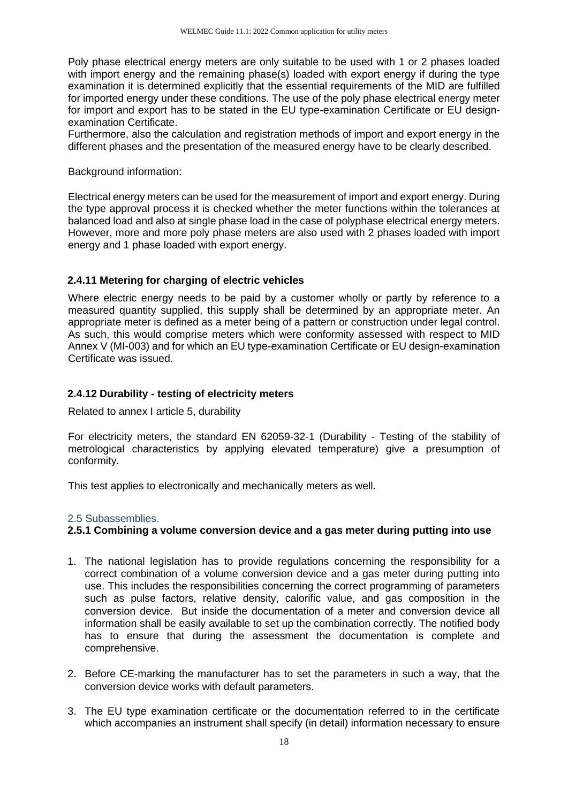Poly phase electrical energy meters are only suitable to be used with 1 or 2 phases loaded with import energy and the remaining phase(s) loaded with export energy if during the type examination it is determined explicitly that the essential requirements of the MID are fulfilled for imported energy under these conditions. The use of the poly phase electrical energy meter for import and export has to be stated in the EU type-examination Certificate or EU designexamination Certificate.

Furthermore, also the calculation and registration methods of import and export energy in the different phases and the presentation of the measured energy have to be clearly described.

#### Background information:

Electrical energy meters can be used for the measurement of import and export energy. During the type approval process it is checked whether the meter functions within the tolerances at balanced load and also at single phase load in the case of polyphase electrical energy meters. However, more and more poly phase meters are also used with 2 phases loaded with import energy and 1 phase loaded with export energy.

#### **2.4.11 Metering for charging of electric vehicles**

Where electric energy needs to be paid by a customer wholly or partly by reference to a measured quantity supplied, this supply shall be determined by an appropriate meter. An appropriate meter is defined as a meter being of a pattern or construction under legal control. As such, this would comprise meters which were conformity assessed with respect to MID Annex V (MI-003) and for which an EU type-examination Certificate or EU design-examination Certificate was issued.

#### **2.4.12 Durability - testing of electricity meters**

Related to annex I article 5, durability

For electricity meters, the standard EN 62059-32-1 (Durability - Testing of the stability of metrological characteristics by applying elevated temperature) give a presumption of conformity.

This test applies to electronically and mechanically meters as well.

#### <span id="page-17-0"></span>2.5 Subassemblies.

#### **2.5.1 Combining a volume conversion device and a gas meter during putting into use**

- 1. The national legislation has to provide regulations concerning the responsibility for a correct combination of a volume conversion device and a gas meter during putting into use. This includes the responsibilities concerning the correct programming of parameters such as pulse factors, relative density, calorific value, and gas composition in the conversion device. But inside the documentation of a meter and conversion device all information shall be easily available to set up the combination correctly. The notified body has to ensure that during the assessment the documentation is complete and comprehensive.
- 2. Before CE-marking the manufacturer has to set the parameters in such a way, that the conversion device works with default parameters.
- 3. The EU type examination certificate or the documentation referred to in the certificate which accompanies an instrument shall specify (in detail) information necessary to ensure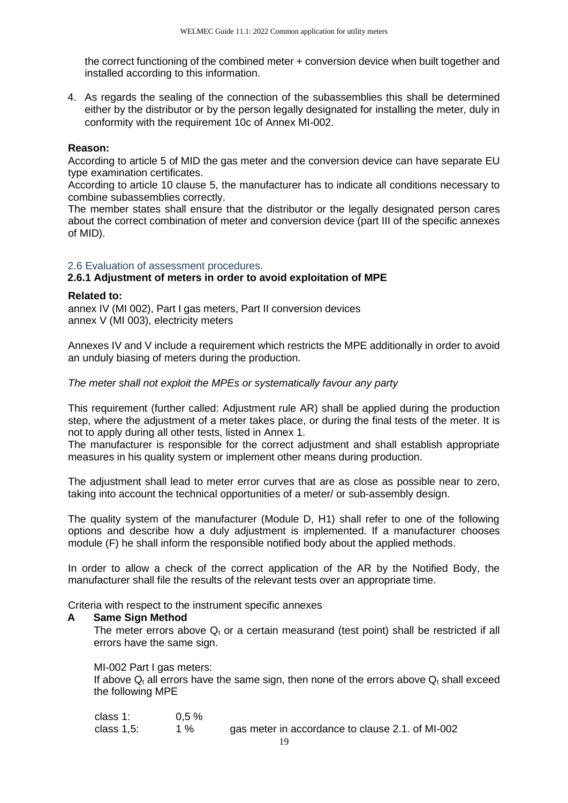the correct functioning of the combined meter + conversion device when built together and installed according to this information.

4. As regards the sealing of the connection of the subassemblies this shall be determined either by the distributor or by the person legally designated for installing the meter, duly in conformity with the requirement 10c of Annex MI-002.

#### **Reason:**

According to article 5 of MID the gas meter and the conversion device can have separate EU type examination certificates.

According to article 10 clause 5, the manufacturer has to indicate all conditions necessary to combine subassemblies correctly.

The member states shall ensure that the distributor or the legally designated person cares about the correct combination of meter and conversion device (part III of the specific annexes of MID).

#### <span id="page-18-0"></span>2.6 Evaluation of assessment procedures.

#### **2.6.1 Adjustment of meters in order to avoid exploitation of MPE**

#### **Related to:**

annex IV (MI 002), Part I gas meters, Part II conversion devices annex V (MI 003), electricity meters

Annexes IV and V include a requirement which restricts the MPE additionally in order to avoid an unduly biasing of meters during the production.

*The meter shall not exploit the MPEs or systematically favour any party* 

This requirement (further called: Adjustment rule AR) shall be applied during the production step, where the adjustment of a meter takes place, or during the final tests of the meter. It is not to apply during all other tests, listed in Annex 1.

The manufacturer is responsible for the correct adjustment and shall establish appropriate measures in his quality system or implement other means during production.

The adjustment shall lead to meter error curves that are as close as possible near to zero, taking into account the technical opportunities of a meter/ or sub-assembly design.

The quality system of the manufacturer (Module D, H1) shall refer to one of the following options and describe how a duly adjustment is implemented. If a manufacturer chooses module (F) he shall inform the responsible notified body about the applied methods.

In order to allow a check of the correct application of the AR by the Notified Body, the manufacturer shall file the results of the relevant tests over an appropriate time.

Criteria with respect to the instrument specific annexes

#### **A Same Sign Method**

The meter errors above  $Q_t$  or a certain measurand (test point) shall be restricted if all errors have the same sign.

#### MI-002 Part I gas meters:

If above  $Q_t$  all errors have the same sign, then none of the errors above  $Q_t$  shall exceed the following MPE

| class 1:   | $0.5 \%$ |                                                  |
|------------|----------|--------------------------------------------------|
| class 1,5: | 1 %      | gas meter in accordance to clause 2.1. of MI-002 |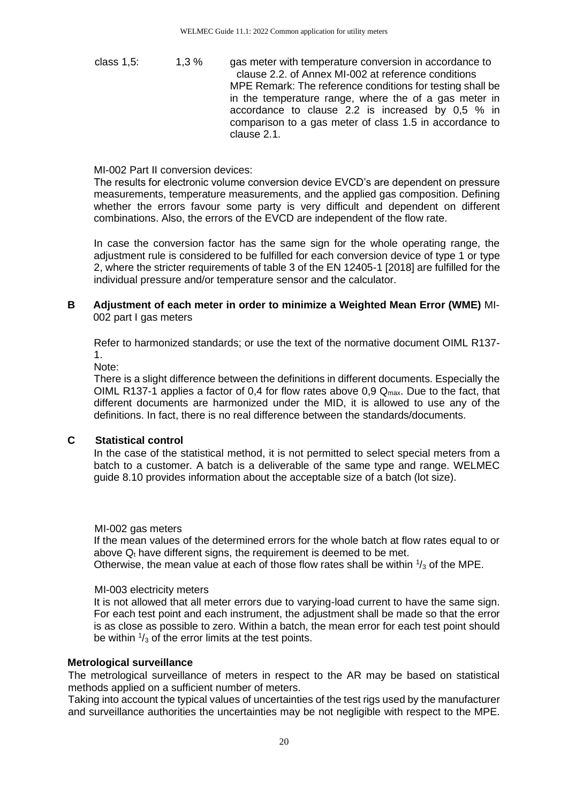class 1,5: 1,3 % gas meter with temperature conversion in accordance to clause 2.2. of Annex MI-002 at reference conditions MPE Remark: The reference conditions for testing shall be in the temperature range, where the of a gas meter in accordance to clause 2.2 is increased by 0,5 % in comparison to a gas meter of class 1.5 in accordance to clause 2.1.

#### MI-002 Part II conversion devices:

The results for electronic volume conversion device EVCD's are dependent on pressure measurements, temperature measurements, and the applied gas composition. Defining whether the errors favour some party is very difficult and dependent on different combinations. Also, the errors of the EVCD are independent of the flow rate.

In case the conversion factor has the same sign for the whole operating range, the adjustment rule is considered to be fulfilled for each conversion device of type 1 or type 2, where the stricter requirements of table 3 of the EN 12405-1 [2018] are fulfilled for the individual pressure and/or temperature sensor and the calculator.

#### **B Adjustment of each meter in order to minimize a Weighted Mean Error (WME)** MI-002 part I gas meters

Refer to harmonized standards; or use the text of the normative document OIML R137- 1.

Note:

There is a slight difference between the definitions in different documents. Especially the OIML R137-1 applies a factor of 0,4 for flow rates above 0,9  $Q_{\text{max}}$ . Due to the fact, that different documents are harmonized under the MID, it is allowed to use any of the definitions. In fact, there is no real difference between the standards/documents.

#### **C Statistical control**

In the case of the statistical method, it is not permitted to select special meters from a batch to a customer. A batch is a deliverable of the same type and range. WELMEC guide 8.10 provides information about the acceptable size of a batch (lot size).

#### MI-002 gas meters

If the mean values of the determined errors for the whole batch at flow rates equal to or above  $Q<sub>t</sub>$  have different signs, the requirement is deemed to be met.

Otherwise, the mean value at each of those flow rates shall be within  $\frac{1}{3}$  of the MPE.

#### MI-003 electricity meters

It is not allowed that all meter errors due to varying-load current to have the same sign. For each test point and each instrument, the adjustment shall be made so that the error is as close as possible to zero. Within a batch, the mean error for each test point should be within  $\frac{1}{3}$  of the error limits at the test points.

#### **Metrological surveillance**

The metrological surveillance of meters in respect to the AR may be based on statistical methods applied on a sufficient number of meters.

Taking into account the typical values of uncertainties of the test rigs used by the manufacturer and surveillance authorities the uncertainties may be not negligible with respect to the MPE.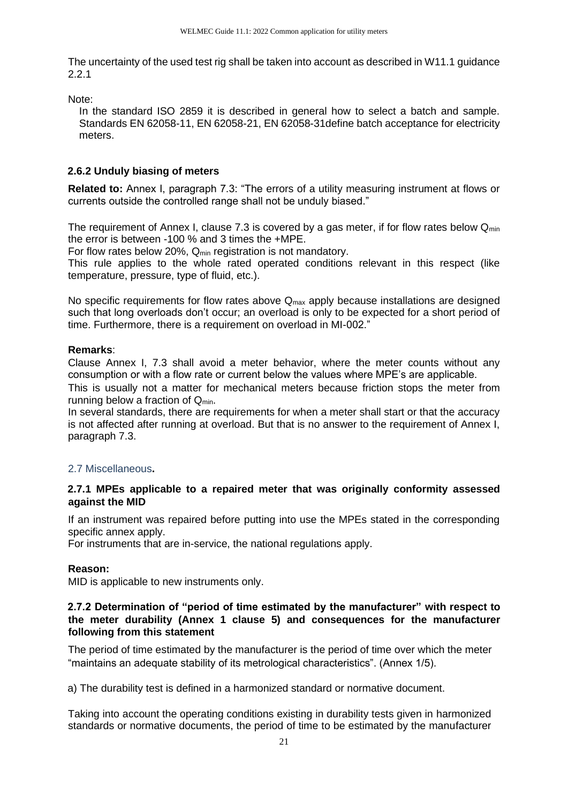The uncertainty of the used test rig shall be taken into account as described in W11.1 guidance 2.2.1

Note:

In the standard ISO 2859 it is described in general how to select a batch and sample. Standards EN 62058-11, EN 62058-21, EN 62058-31define batch acceptance for electricity meters.

#### **2.6.2 Unduly biasing of meters**

**Related to:** Annex I, paragraph 7.3: "The errors of a utility measuring instrument at flows or currents outside the controlled range shall not be unduly biased."

The requirement of Annex I, clause 7.3 is covered by a gas meter, if for flow rates below  $Q_{min}$ the error is between -100 % and 3 times the +MPE.

For flow rates below 20%,  $Q_{min}$  registration is not mandatory.

This rule applies to the whole rated operated conditions relevant in this respect (like temperature, pressure, type of fluid, etc.).

No specific requirements for flow rates above  $Q_{\text{max}}$  apply because installations are designed such that long overloads don't occur; an overload is only to be expected for a short period of time. Furthermore, there is a requirement on overload in MI-002."

#### **Remarks**:

Clause Annex I, 7.3 shall avoid a meter behavior, where the meter counts without any consumption or with a flow rate or current below the values where MPE's are applicable.

This is usually not a matter for mechanical meters because friction stops the meter from running below a fraction of  $Q_{min}$ .

In several standards, there are requirements for when a meter shall start or that the accuracy is not affected after running at overload. But that is no answer to the requirement of Annex I, paragraph 7.3.

#### <span id="page-20-0"></span>2.7 Miscellaneous**.**

#### **2.7.1 MPEs applicable to a repaired meter that was originally conformity assessed against the MID**

If an instrument was repaired before putting into use the MPEs stated in the corresponding specific annex apply.

For instruments that are in-service, the national regulations apply.

#### **Reason:**

MID is applicable to new instruments only.

#### **2.7.2 Determination of "period of time estimated by the manufacturer" with respect to the meter durability (Annex 1 clause 5) and consequences for the manufacturer following from this statement**

The period of time estimated by the manufacturer is the period of time over which the meter "maintains an adequate stability of its metrological characteristics". (Annex 1/5).

a) The durability test is defined in a harmonized standard or normative document.

Taking into account the operating conditions existing in durability tests given in harmonized standards or normative documents, the period of time to be estimated by the manufacturer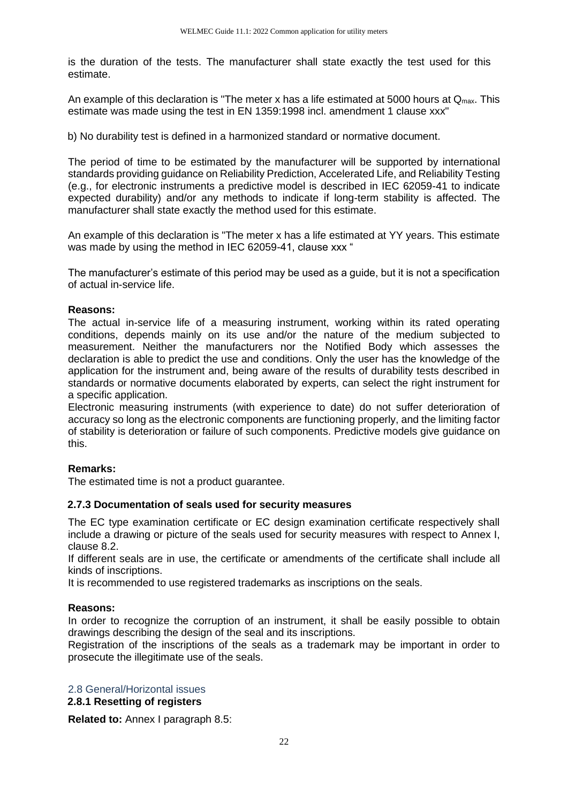is the duration of the tests. The manufacturer shall state exactly the test used for this estimate.

An example of this declaration is "The meter x has a life estimated at 5000 hours at  $Q_{\text{max}}$ . This estimate was made using the test in EN 1359:1998 incl. amendment 1 clause xxx"

b) No durability test is defined in a harmonized standard or normative document.

The period of time to be estimated by the manufacturer will be supported by international standards providing guidance on Reliability Prediction, Accelerated Life, and Reliability Testing (e.g., for electronic instruments a predictive model is described in IEC 62059-41 to indicate expected durability) and/or any methods to indicate if long-term stability is affected. The manufacturer shall state exactly the method used for this estimate.

An example of this declaration is "The meter x has a life estimated at YY years. This estimate was made by using the method in IEC 62059-41, clause xxx "

The manufacturer's estimate of this period may be used as a guide, but it is not a specification of actual in-service life.

#### **Reasons:**

The actual in-service life of a measuring instrument, working within its rated operating conditions, depends mainly on its use and/or the nature of the medium subjected to measurement. Neither the manufacturers nor the Notified Body which assesses the declaration is able to predict the use and conditions. Only the user has the knowledge of the application for the instrument and, being aware of the results of durability tests described in standards or normative documents elaborated by experts, can select the right instrument for a specific application.

Electronic measuring instruments (with experience to date) do not suffer deterioration of accuracy so long as the electronic components are functioning properly, and the limiting factor of stability is deterioration or failure of such components. Predictive models give guidance on this.

#### **Remarks:**

The estimated time is not a product guarantee.

#### **2.7.3 Documentation of seals used for security measures**

The EC type examination certificate or EC design examination certificate respectively shall include a drawing or picture of the seals used for security measures with respect to Annex I, clause 8.2.

If different seals are in use, the certificate or amendments of the certificate shall include all kinds of inscriptions.

It is recommended to use registered trademarks as inscriptions on the seals.

#### **Reasons:**

In order to recognize the corruption of an instrument, it shall be easily possible to obtain drawings describing the design of the seal and its inscriptions.

Registration of the inscriptions of the seals as a trademark may be important in order to prosecute the illegitimate use of the seals.

#### <span id="page-21-0"></span>2.8 General/Horizontal issues

**2.8.1 Resetting of registers** 

**Related to:** Annex I paragraph 8.5: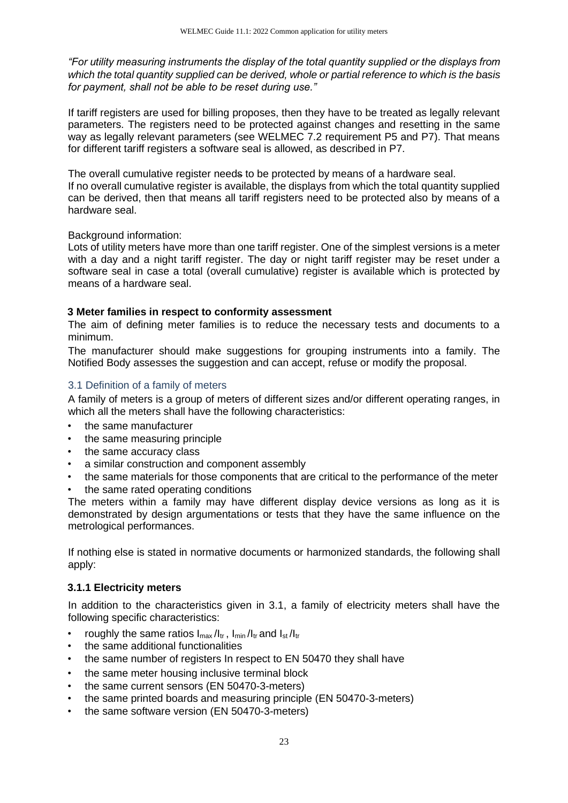*"For utility measuring instruments the display of the total quantity supplied or the displays from which the total quantity supplied can be derived, whole or partial reference to which is the basis for payment, shall not be able to be reset during use."*

If tariff registers are used for billing proposes, then they have to be treated as legally relevant parameters. The registers need to be protected against changes and resetting in the same way as legally relevant parameters (see WELMEC 7.2 requirement P5 and P7). That means for different tariff registers a software seal is allowed, as described in P7.

The overall cumulative register needs to be protected by means of a hardware seal. If no overall cumulative register is available, the displays from which the total quantity supplied can be derived, then that means all tariff registers need to be protected also by means of a hardware seal.

#### Background information:

Lots of utility meters have more than one tariff register. One of the simplest versions is a meter with a day and a night tariff register. The day or night tariff register may be reset under a software seal in case a total (overall cumulative) register is available which is protected by means of a hardware seal.

#### <span id="page-22-0"></span>**3 Meter families in respect to conformity assessment**

The aim of defining meter families is to reduce the necessary tests and documents to a minimum.

The manufacturer should make suggestions for grouping instruments into a family. The Notified Body assesses the suggestion and can accept, refuse or modify the proposal.

#### <span id="page-22-1"></span>3.1 Definition of a family of meters

A family of meters is a group of meters of different sizes and/or different operating ranges, in which all the meters shall have the following characteristics:

- the same manufacturer
- the same measuring principle
- the same accuracy class
- a similar construction and component assembly
- the same materials for those components that are critical to the performance of the meter
- the same rated operating conditions

The meters within a family may have different display device versions as long as it is demonstrated by design argumentations or tests that they have the same influence on the metrological performances.

If nothing else is stated in normative documents or harmonized standards, the following shall apply:

#### **3.1.1 Electricity meters**

In addition to the characteristics given in 3.1, a family of electricity meters shall have the following specific characteristics:

- roughly the same ratios  $I_{\text{max}}/I_{\text{tr}}$ ,  $I_{\text{min}}/I_{\text{tr}}$  and  $I_{\text{st}}/I_{\text{tr}}$
- the same additional functionalities
- the same number of registers In respect to EN 50470 they shall have
- the same meter housing inclusive terminal block
- the same current sensors (EN 50470-3-meters)
- the same printed boards and measuring principle (EN 50470-3-meters)
- the same software version (EN 50470-3-meters)